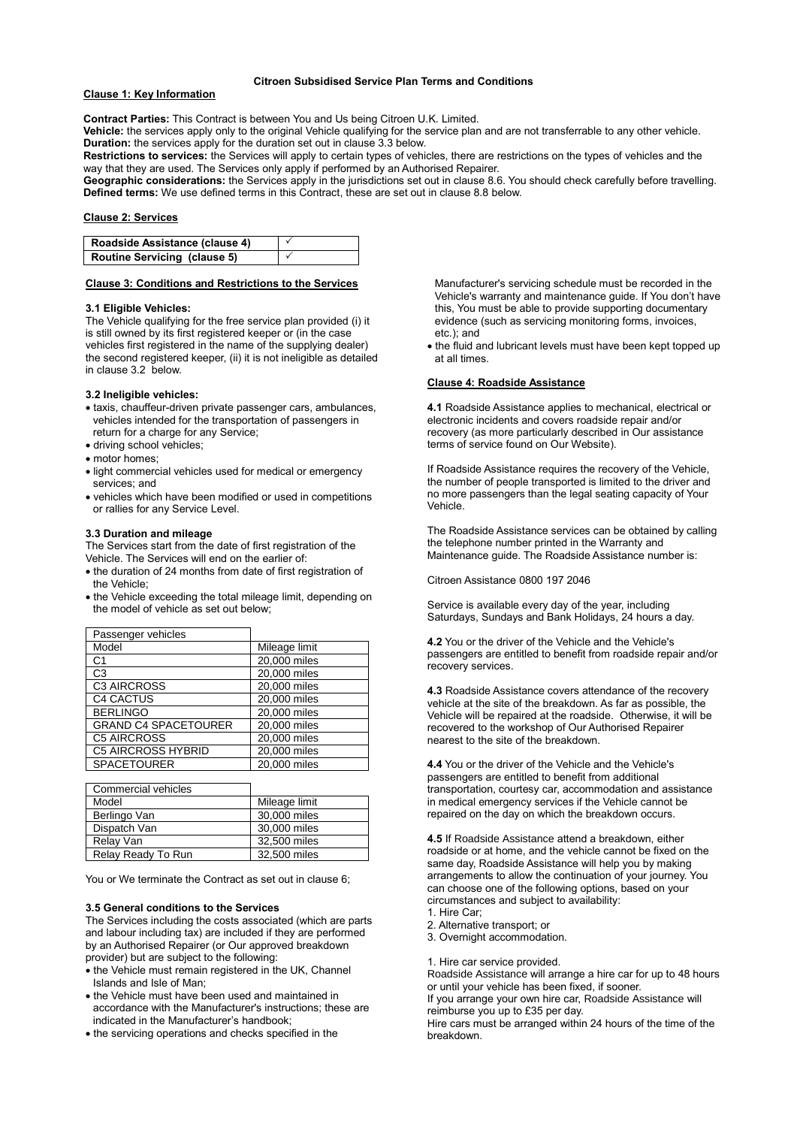#### **Citroen Subsidised Service Plan Terms and Conditions**

# **Clause 1: Key Information**

**Contract Parties:** This Contract is between You and Us being Citroen U.K. Limited.

**Vehicle:** the services apply only to the original Vehicle qualifying for the service plan and are not transferrable to any other vehicle. **Duration:** the services apply for the duration set out in clause 3.3 below.

**Restrictions to services:** the Services will apply to certain types of vehicles, there are restrictions on the types of vehicles and the way that they are used. The Services only apply if performed by an Authorised Repairer.

**Geographic considerations:** the Services apply in the jurisdictions set out in clause 8.6. You should check carefully before travelling. **Defined terms:** We use defined terms in this Contract, these are set out in clause 8.8 below.

# **Clause 2: Services**

| Roadside Assistance (clause 4) |  |
|--------------------------------|--|
| Routine Servicing (clause 5)   |  |

## **Clause 3: Conditions and Restrictions to the Services**

## **3.1 Eligible Vehicles:**

The Vehicle qualifying for the free service plan provided (i) it is still owned by its first registered keeper or (in the case vehicles first registered in the name of the supplying dealer) the second registered keeper, (ii) it is not ineligible as detailed in clause 3.2 below.

## **3.2 Ineligible vehicles:**

- taxis, chauffeur-driven private passenger cars, ambulances, vehicles intended for the transportation of passengers in return for a charge for any Service;
- driving school vehicles;
- motor homes;
- light commercial vehicles used for medical or emergency services; and
- vehicles which have been modified or used in competitions or rallies for any Service Level.

# **3.3 Duration and mileage**

The Services start from the date of first registration of the Vehicle. The Services will end on the earlier of:

- the duration of 24 months from date of first registration of the Vehicle;
- the Vehicle exceeding the total mileage limit, depending on the model of vehicle as set out below;

| Passenger vehicles          |               |
|-----------------------------|---------------|
| Model                       | Mileage limit |
| C <sub>1</sub>              | 20,000 miles  |
| C3                          | 20,000 miles  |
| <b>C3 AIRCROSS</b>          | 20,000 miles  |
| <b>C4 CACTUS</b>            | 20,000 miles  |
| <b>BERLINGO</b>             | 20,000 miles  |
| <b>GRAND C4 SPACETOURER</b> | 20,000 miles  |
| <b>C5 AIRCROSS</b>          | 20,000 miles  |
| <b>C5 AIRCROSS HYBRID</b>   | 20,000 miles  |
| SPACETOURER                 | 20,000 miles  |

| Commercial vehicles |               |
|---------------------|---------------|
| Model               | Mileage limit |
| Berlingo Van        | 30,000 miles  |
| Dispatch Van        | 30,000 miles  |
| Relay Van           | 32,500 miles  |
| Relay Ready To Run  | 32,500 miles  |

You or We terminate the Contract as set out in clause 6;

#### **3.5 General conditions to the Services**

The Services including the costs associated (which are parts and labour including tax) are included if they are performed by an Authorised Repairer (or Our approved breakdown provider) but are subject to the following:

- the Vehicle must remain registered in the UK, Channel Islands and Isle of Man;
- the Vehicle must have been used and maintained in accordance with the Manufacturer's instructions; these are indicated in the Manufacturer's handbook;
- the servicing operations and checks specified in the

Manufacturer's servicing schedule must be recorded in the Vehicle's warranty and maintenance guide. If You don't have this, You must be able to provide supporting documentary evidence (such as servicing monitoring forms, invoices, etc.); and

 the fluid and lubricant levels must have been kept topped up at all times.

## **Clause 4: Roadside Assistance**

**4.1** Roadside Assistance applies to mechanical, electrical or electronic incidents and covers roadside repair and/or recovery (as more particularly described in Our assistance terms of service found on Our Website).

If Roadside Assistance requires the recovery of the Vehicle, the number of people transported is limited to the driver and no more passengers than the legal seating capacity of Your Vehicle.

The Roadside Assistance services can be obtained by calling the telephone number printed in the Warranty and Maintenance guide. The Roadside Assistance number is:

Citroen Assistance 0800 197 2046

Service is available every day of the year, including Saturdays, Sundays and Bank Holidays, 24 hours a day.

**4.2** You or the driver of the Vehicle and the Vehicle's passengers are entitled to benefit from roadside repair and/or recovery services.

**4.3** Roadside Assistance covers attendance of the recovery vehicle at the site of the breakdown. As far as possible, the Vehicle will be repaired at the roadside. Otherwise, it will be recovered to the workshop of Our Authorised Repairer nearest to the site of the breakdown.

**4.4** You or the driver of the Vehicle and the Vehicle's passengers are entitled to benefit from additional transportation, courtesy car, accommodation and assistance in medical emergency services if the Vehicle cannot be repaired on the day on which the breakdown occurs.

**4.5** If Roadside Assistance attend a breakdown, either roadside or at home, and the vehicle cannot be fixed on the same day, Roadside Assistance will help you by making arrangements to allow the continuation of your journey. You can choose one of the following options, based on your circumstances and subject to availability:

- 1. Hire Car;
- 2. Alternative transport; or
- 3. Overnight accommodation.

1. Hire car service provided.

Roadside Assistance will arrange a hire car for up to 48 hours or until your vehicle has been fixed, if sooner.

If you arrange your own hire car, Roadside Assistance will reimburse you up to £35 per day.

Hire cars must be arranged within 24 hours of the time of the breakdown.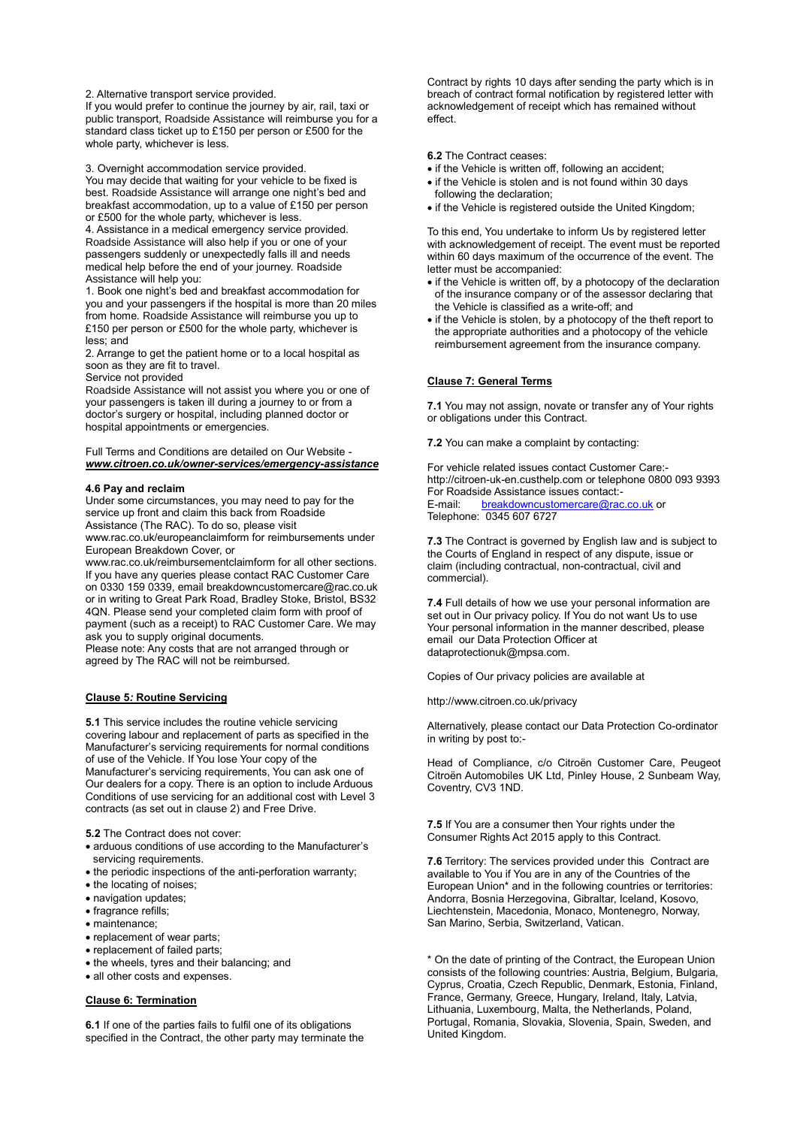2. Alternative transport service provided.

If you would prefer to continue the journey by air, rail, taxi or public transport, Roadside Assistance will reimburse you for a standard class ticket up to £150 per person or £500 for the whole party, whichever is less.

3. Overnight accommodation service provided.

You may decide that waiting for your vehicle to be fixed is best. Roadside Assistance will arrange one night's bed and breakfast accommodation, up to a value of £150 per person or £500 for the whole party, whichever is less.

4. Assistance in a medical emergency service provided. Roadside Assistance will also help if you or one of your passengers suddenly or unexpectedly falls ill and needs medical help before the end of your journey. Roadside Assistance will help you:

1. Book one night's bed and breakfast accommodation for you and your passengers if the hospital is more than 20 miles from home. Roadside Assistance will reimburse you up to £150 per person or £500 for the whole party, whichever is less; and

2. Arrange to get the patient home or to a local hospital as soon as they are fit to travel.

Service not provided

Roadside Assistance will not assist you where you or one of your passengers is taken ill during a journey to or from a doctor's surgery or hospital, including planned doctor or hospital appointments or emergencies.

Full Terms and Conditions are detailed on Our Website *[www.citroen.co.uk/owner-services/emergency-assistance](http://www.citroen.co.uk/owner-services/emergency-assistance)*

#### **4.6 Pay and reclaim**

Under some circumstances, you may need to pay for the service up front and claim this back from Roadside Assistance (The RAC). To do so, please visit

www.rac.co.uk/europeanclaimform for reimbursements under European Breakdown Cover, or

www.rac.co.uk/reimbursementclaimform for all other sections. If you have any queries please contact RAC Customer Care on 0330 159 0339, email breakdowncustomercare@rac.co.uk or in writing to Great Park Road, Bradley Stoke, Bristol, BS32 4QN. Please send your completed claim form with proof of payment (such as a receipt) to RAC Customer Care. We may ask you to supply original documents.

Please note: Any costs that are not arranged through or agreed by The RAC will not be reimbursed.

# **Clause 5***:* **Routine Servicing**

**5.1** This service includes the routine vehicle servicing covering labour and replacement of parts as specified in the Manufacturer's servicing requirements for normal conditions of use of the Vehicle. If You lose Your copy of the Manufacturer's servicing requirements, You can ask one of Our dealers for a copy. There is an option to include Arduous Conditions of use servicing for an additional cost with Level 3 contracts (as set out in clause 2) and Free Drive.

**5.2** The Contract does not cover:

- arduous conditions of use according to the Manufacturer's servicing requirements.
- the periodic inspections of the anti-perforation warranty;
- the locating of noises;
- navigation updates;
- fragrance refills;
- maintenance;
- replacement of wear parts;
- replacement of failed parts;
- the wheels, tyres and their balancing; and
- all other costs and expenses.

**Clause 6: Termination**

**6.1** If one of the parties fails to fulfil one of its obligations specified in the Contract, the other party may terminate the

Contract by rights 10 days after sending the party which is in breach of contract formal notification by registered letter with acknowledgement of receipt which has remained without effect.

#### **6.2** The Contract ceases:

- if the Vehicle is written off, following an accident;
- if the Vehicle is stolen and is not found within 30 days following the declaration;
- if the Vehicle is registered outside the United Kingdom;

To this end, You undertake to inform Us by registered letter with acknowledgement of receipt. The event must be reported within 60 days maximum of the occurrence of the event. The letter must be accompanied:

- if the Vehicle is written off, by a photocopy of the declaration of the insurance company or of the assessor declaring that the Vehicle is classified as a write-off; and
- if the Vehicle is stolen, by a photocopy of the theft report to the appropriate authorities and a photocopy of the vehicle reimbursement agreement from the insurance company.

# **Clause 7: General Terms**

**7.1** You may not assign, novate or transfer any of Your rights or obligations under this Contract.

**7.2** You can make a complaint by contacting:

For vehicle related issues contact Customer Care: [http://citroen-uk-en.custhelp.com](http://citroen-uk-en.custhelp.com/) or telephone 0800 093 9393 For Roadside Assistance issues contact:<br>E-mail: breakdowncustomercare@rac [breakdowncustomercare@rac.co.uk](mailto:breakdowncustomercare@rac.co.uk) or Telephone: 0345 607 6727

**7.3** The Contract is governed by English law and is subject to the Courts of England in respect of any dispute, issue or claim (including contractual, non-contractual, civil and commercial).

**7.4** Full details of how we use your personal information are set out in Our privacy policy. If You do not want Us to use Your personal information in the manner described, please email our Data Protection Officer at dataprotectionuk@mpsa.com.

Copies of Our privacy policies are available at

http://www.citroen.co.uk/privacy

Alternatively, please contact our Data Protection Co-ordinator in writing by post to:-

Head of Compliance, c/o Citroën Customer Care, Peugeot Citroën Automobiles UK Ltd, Pinley House, 2 Sunbeam Way, Coventry, CV3 1ND.

**7.5** If You are a consumer then Your rights under the Consumer Rights Act 2015 apply to this Contract.

**7.6** Territory: The services provided under this Contract are available to You if You are in any of the Countries of the European Union\* and in the following countries or territories: Andorra, Bosnia Herzegovina, Gibraltar, Iceland, Kosovo, Liechtenstein, Macedonia, Monaco, Montenegro, Norway, San Marino, Serbia, Switzerland, Vatican.

\* On the date of printing of the Contract, the European Union consists of the following countries: Austria, Belgium, Bulgaria, Cyprus, Croatia, Czech Republic, Denmark, Estonia, Finland, France, Germany, Greece, Hungary, Ireland, Italy, Latvia, Lithuania, Luxembourg, Malta, the Netherlands, Poland, Portugal, Romania, Slovakia, Slovenia, Spain, Sweden, and United Kingdom.